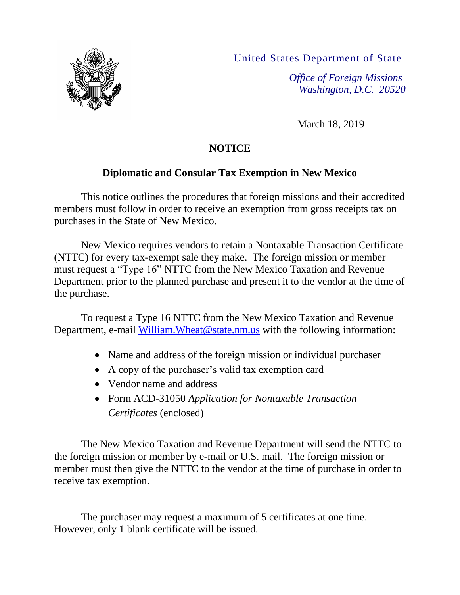

United States Department of State

*Office of Foreign Missions Washington, D.C. 20520*

March 18, 2019

# **NOTICE**

# **Diplomatic and Consular Tax Exemption in New Mexico**

This notice outlines the procedures that foreign missions and their accredited members must follow in order to receive an exemption from gross receipts tax on purchases in the State of New Mexico.

New Mexico requires vendors to retain a Nontaxable Transaction Certificate (NTTC) for every tax-exempt sale they make. The foreign mission or member must request a "Type 16" NTTC from the New Mexico Taxation and Revenue Department prior to the planned purchase and present it to the vendor at the time of the purchase.

To request a Type 16 NTTC from the New Mexico Taxation and Revenue Department, e-mail William. Wheat @state.nm.us with the following information:

- Name and address of the foreign mission or individual purchaser
- A copy of the purchaser's valid tax exemption card
- Vendor name and address
- Form ACD-31050 *Application for Nontaxable Transaction Certificates* (enclosed)

The New Mexico Taxation and Revenue Department will send the NTTC to the foreign mission or member by e-mail or U.S. mail. The foreign mission or member must then give the NTTC to the vendor at the time of purchase in order to receive tax exemption.

The purchaser may request a maximum of 5 certificates at one time. However, only 1 blank certificate will be issued.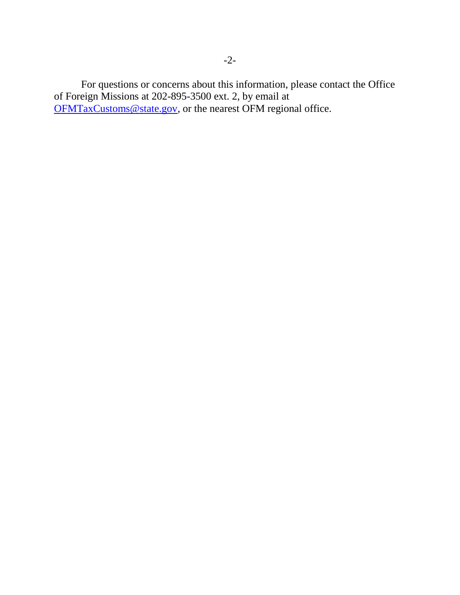For questions or concerns about this information, please contact the Office of Foreign Missions at 202-895-3500 ext. 2, by email at [OFMTaxCustoms@state.gov,](mailto:OFMTaxCustoms@state.gov) or the nearest OFM regional office.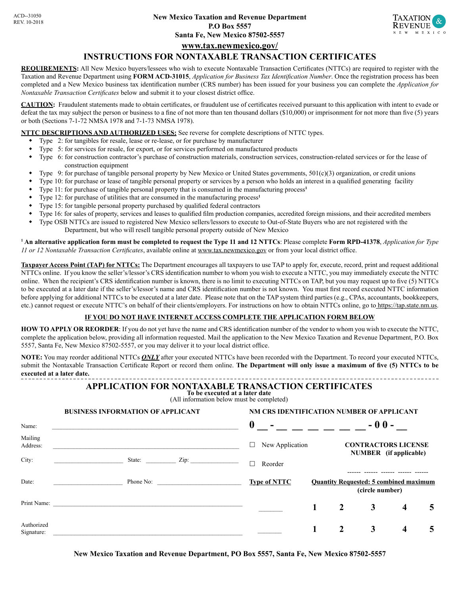

## **www.tax.newmexico.gov/**

#### **INSTRUCTIONS FOR NONTAXABLE TRANSACTION CERTIFICATES**

**REQUIREMENTS:** All New Mexico buyers/lessees who wish to execute Nontaxable Transaction Certificates (NTTCs) are required to register with the Taxation and Revenue Department using **FORM ACD-31015**, *Application for Business Tax Identification Number*. Once the registration process has been completed and a New Mexico business tax identification number (CRS number) has been issued for your business you can complete the *Application for Nontaxable Transaction Certificates* below and submit it to your closest district office.

**CAUTION:** Fraudulent statements made to obtain certificates, or fraudulent use of certificates received pursuant to this application with intent to evade or defeat the tax may subject the person or business to a fine of not more than ten thousand dollars (\$10,000) or imprisonment for not more than five (5) years or both (Sections 7-1-72 NMSA 1978 and 7-1-73 NMSA 1978).

**NTTC DESCRIPTIONS AND AUTHORIZED USES:** See reverse for complete descriptions of NTTC types.

- Type 2: for tangibles for resale, lease or re-lease, or for purchase by manufacturer
- Type 5: for services for resale, for export, or for services performed on manufactured products
- Type 6: for construction contractor's purchase of construction materials, construction services, construction-related services or for the lease of construction equipment
- Type 9: for purchase of tangible personal property by New Mexico or United States governments, 501(c)(3) organization, or credit unions
- Type 10: for purchase or lease of tangible personal property or services by a person who holds an interest in a qualified generating facility
- Type 11: for purchase of tangible personal property that is consumed in the manufacturing process<sup>1</sup>
- Type 12: for purchase of utilities that are consumed in the manufacturing process<sup>1</sup>
- Type 15: for tangible personal property purchased by qualified federal contractors

**BUSINESS INFORMATION OF APPLICANT**

- Type 16: for sales of property, services and leases to qualified film production companies, accredited foreign missions, and their accredited members
- Type OSB NTTCs are issued to registered New Mexico sellers/lessors to execute to Out-of-State Buyers who are not registered with the Department, but who will resell tangible personal property outside of New Mexico

**1 An alternative application form must be completed to request the Type 11 and 12 NTTCs**: Please complete **Form RPD-41378**, *Application for Type 11 or 12 Nontaxable Transaction Certificates*, available online at www.tax.newmexico.gov or from your local district office.

**Taxpayer Access Point (TAP) for NTTCs:** The Department encourages all taxpayers to use TAP to apply for, execute, record, print and request additional NTTCs online. If you know the seller's/lessor's CRS identification number to whom you wish to execute a NTTC, you may immediately execute the NTTC online. When the recipient's CRS identification number is known, there is no limit to executing NTTCs on TAP, but you may request up to five (5) NTTCs to be executed at a later date if the seller's/lessor's name and CRS identification number is not known. You must first record executed NTTC information before applying for additional NTTCs to be executed at a later date. Please note that on the TAP system third parties (e.g., CPAs, accountants, bookkeepers, etc.) cannot request or execute NTTC's on behalf of their clients/employers. For instructions on how to obtain NTTCs online, go to https://tap.state.nm.us.

#### **IF YOU DO NOT HAVE INTERNET ACCESS COMPLETE THE APPLICATION FORM BELOW**

**HOW TO APPLY OR REORDER**: If you do not yet have the name and CRS identification number of the vendor to whom you wish to execute the NTTC, complete the application below, providing all information requested. Mail the application to the New Mexico Taxation and Revenue Department, P.O. Box 5557, Santa Fe, New Mexico 87502-5557, or you may deliver it to your local district office.

**NOTE:** You may reorder additional NTTCs *ONLY* after your executed NTTCs have been recorded with the Department. To record your executed NTTCs, submit the Nontaxable Transaction Certificate Report or record them online. **The Department will only issue a maximum of five (5) NTTCs to be executed at a later date.**

## **APPLICATION FOR NONTAXABLE TRANSACTION CERTIFICATES**

**To be executed at a later date**

(All information below must be completed)

**NM CRS IDENTIFICATION NUMBER OF APPLICANT**

|                          | <b>BUSINESS INFORMATION OF APPLICANT</b>                 | NM CRS IDENTIFICATION NUMBER OF APPLICANT |                 |                                                                  |                                                      |   |   |  |
|--------------------------|----------------------------------------------------------|-------------------------------------------|-----------------|------------------------------------------------------------------|------------------------------------------------------|---|---|--|
| Name:                    |                                                          | $\begin{array}{ccc} 0 & - & \end{array}$  |                 |                                                                  | $-00-$                                               |   |   |  |
| Mailing<br>Address:      |                                                          | □                                         | New Application |                                                                  | <b>CONTRACTORS LICENSE</b><br>NUMBER (if applicable) |   |   |  |
| City:                    | State: $\frac{Zip:$<br>the control of the control of the | $\Box$<br>Reorder                         |                 |                                                                  |                                                      |   |   |  |
| Date:                    |                                                          | <b>Type of NTTC</b>                       |                 | <b>Quantity Requested: 5 combined maximum</b><br>(circle number) |                                                      |   |   |  |
| Print Name:              | <u> 1980 - Andrea Andrew Maria (h. 1980).</u>            |                                           |                 | $\overline{2}$                                                   | 3                                                    | 4 | 5 |  |
| Authorized<br>Signature: |                                                          |                                           |                 | 2                                                                | 3                                                    | 4 | 5 |  |

**New Mexico Taxation and Revenue Department, PO Box 5557, Santa Fe, New Mexico 87502-5557**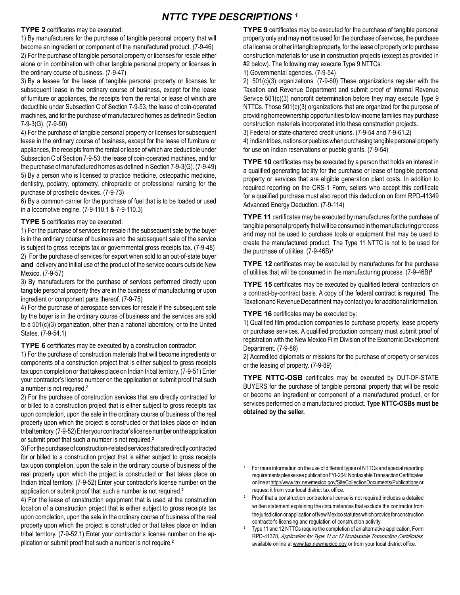## *NTTC TYPE DESCRIPTIONS 1*

**TYPE 2** certificates may be executed:

1) By manufacturers for the purchase of tangible personal property that will become an ingredient or component of the manufactured product. (7-9-46) 2) For the purchase of tangible personal property or licenses for resale either alone or in combination with other tangible personal property or licenses in the ordinary course of business. (7-9-47)

3) By a lessee for the lease of tangible personal property or licenses for subsequent lease in the ordinary course of business, except for the lease of furniture or appliances, the receipts from the rental or lease of which are deductible under Subsection C of Section 7-9-53, the lease of coin-operated machines, and for the purchase of manufactured homes as defined in Section 7-9-3(G). (7-9-50)

4) For the purchase of tangible personal property or licenses for subsequent lease in the ordinary course of business, except for the lease of furniture or appliances, the receipts from the rental or lease of which are deductible under Subsection C of Section 7-9-53; the lease of coin-operated machines, and for the purchase of manufactured homes as defined in Section 7-9-3(G). (7-9-49) 5) By a person who is licensed to practice medicine, osteopathic medicine, dentistry, podiatry, optometry, chiropractic or professional nursing for the purchase of prosthetic devices. (7-9-73)

6) By a common carrier for the purchase of fuel that is to be loaded or used in a locomotive engine. (7-9-110.1 & 7-9-110.3)

#### **TYPE 5** certificates may be executed:

1) For the purchase of services for resale if the subsequent sale by the buyer is in the ordinary course of business and the subsequent sale of the service is subject to gross receipts tax or governmental gross receipts tax. (7-9-48) 2) For the purchase of services for export when sold to an out-of-state buyer **and** delivery and initial use of the product of the service occurs outside New Mexico. (7-9-57)

3) By manufacturers for the purchase of services performed directly upon tangible personal property they are in the business of manufacturing or upon ingredient or component parts thereof. (7-9-75)

4) For the purchase of aerospace services for resale if the subsequent sale by the buyer is in the ordinary course of business and the services are sold to a 501(c)(3) organization, other than a national laboratory, or to the United States. (7-9-54.1)

**TYPE 6** certificates may be executed by a construction contractor:

1) For the purchase of construction materials that will become ingredients or components of a construction project that is either subject to gross receipts tax upon completion or that takes place on Indian tribal territory. (7-9-51) Enter your contractor's license number on the application or submit proof that such a number is not required.**<sup>2</sup>**

2) For the purchase of construction services that are directly contracted for or billed to a construction project that is either subject to gross receipts tax upon completion, upon the sale in the ordinary course of business of the real property upon which the project is constructed or that takes place on Indian tribal territory. (7-9-52) Enter your contractor's license number on the application or submit proof that such a number is not required.**<sup>2</sup>**

3) For the purchase of construction-related services that are directly contracted for or billed to a construction project that is either subject to gross receipts tax upon completion, upon the sale in the ordinary course of business of the real property upon which the project is constructed or that takes place on Indian tribal territory. (7-9-52) Enter your contractor's license number on the application or submit proof that such a number is not required.**<sup>2</sup>**

4) For the lease of construction equipment that is used at the construction location of a construction project that is either subject to gross receipts tax upon completion, upon the sale in the ordinary course of business of the real property upon which the project is constructed or that takes place on Indian tribal territory. (7-9-52.1) Enter your contractor's license number on the application or submit proof that such a number is not require.**<sup>2</sup>**

**TYPE 9** certificates may be executed for the purchase of tangible personal property only and may **not** be used for the purchase of services, the purchase of a license or other intangible property, for the lease of property or to purchase construction materials for use in construction projects (except as provided in #2 below). The following may execute Type 9 NTTCs:

1) Governmental agencies. (7-9-54)

2) 501(c)(3) organizations. (7-9-60) These organizations register with the Taxation and Revenue Department and submit proof of Internal Revenue Service 501(c)(3) nonprofit determination before they may execute Type 9 NTTCs. Those 501(c)(3) organizations that are organized for the purpose of providing homeownership opportunities to low-income families may purchase construction materials incorporated into these construction projects.

3) Federal or state-chartered credit unions. (7-9-54 and 7-9-61.2)

4) Indian tribes, nations or pueblos when purchasing tangible personal property for use on Indian reservations or pueblo grants. (7-9-54)

**TYPE 10** certificates may be executed by a person that holds an interest in a qualified generating facility for the purchase or lease of tangible personal property or services that are eligible generation plant costs. In addition to required reporting on the CRS-1 Form, sellers who accept this certificate for a qualified purchase must also report this deduction on form RPD-41349 Advanced Energy Deduction. (7-9-114)

**TYPE 11** certificates may be executed by manufactures for the purchase of tangible personal property that will be consumed in the manufacturing process and may not be used to purchase tools or equipment that may be used to create the manufactured product. The Type 11 NTTC is not to be used for the purchase of utilities. (7-9-46B)**<sup>3</sup>**

**TYPE 12** certificates may be executed by manufactures for the purchase of utilities that will be consumed in the manufacturing process. (7-9-46B)**<sup>3</sup>**

**TYPE 15** certificates may be executed by qualified federal contractors on a contract-by-contract basis. A copy of the federal contract is required. The Taxation and Revenue Department may contact you for additional information.

**TYPE 16** certificates may be executed by:

1) Qualified film production companies to purchase property, lease property or purchase services. A qualified production company must submit proof of registration with the New Mexico Film Division of the Economic Development Department. (7-9-86)

2) Accredited diplomats or missions for the purchase of property or services or the leasing of property. (7-9-89)

**TYPE NTTC-OSB** certificates may be executed by OUT-OF-STATE BUYERS for the purchase of tangible personal property that will be resold or become an ingredient or component of a manufactured product, or for services performed on a manufactured product. **Type NTTC-OSBs must be obtained by the seller.**

**<sup>1</sup>** For more information on the use of different types of NTTCs and special reporting requirements please see publication FYI-204: Nontaxable Transaction Certificates online athttp://www.tax.newmexico.gov/SiteCollectionDocuments/Publicationsor request it from your local district tax office.

<sup>2</sup> Proof that a construction contractor's license is not required includes a detailed written statement explaining the circumstances that exclude the contractor from the jurisdiction or application of New Mexico statutes which provide for construction contractor's licensing and regulation of construction activity.

**<sup>3</sup>** Type 11 and 12 NTTCs require the completion of an alternative application, Form RPD-41378, Application for Type 11 or 12 Nontaxable Transaction Certificates, available online at www.tax.newmexico.gov or from your local district office.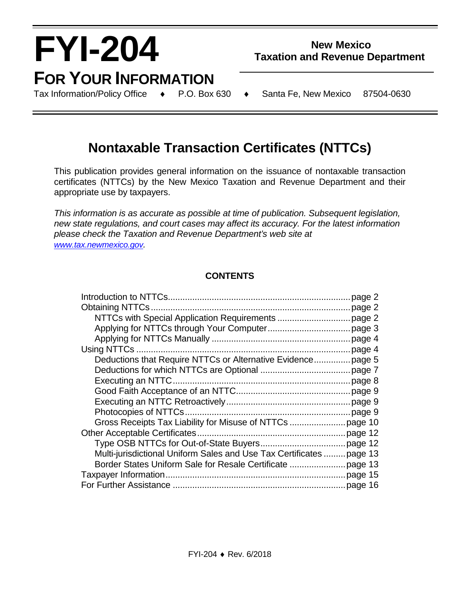# **FYI-204 FOR YOUR INFORMATION**<br>Tax Information/Policy Office  $\rightarrow$  P.O. Box 630

l,

# **New Mexico Taxation and Revenue Department**

Tax Information/Policy Office ♦ P.O. Box 630 ♦ Santa Fe, New Mexico 87504-0630

# **Nontaxable Transaction Certificates (NTTCs)**

This publication provides general information on the issuance of nontaxable transaction certificates (NTTCs) by the New Mexico Taxation and Revenue Department and their appropriate use by taxpayers.

*This information is as accurate as possible at time of publication. Subsequent legislation, new state regulations, and court cases may affect its accuracy. For the latest information please check the Taxation and Revenue Department's web site at [www.tax.newmexico.gov.](http://www.tax.newmexico.gov/)*

## **CONTENTS**

| Deductions that Require NTTCs or Alternative Evidence page 5         |  |
|----------------------------------------------------------------------|--|
|                                                                      |  |
|                                                                      |  |
|                                                                      |  |
|                                                                      |  |
|                                                                      |  |
|                                                                      |  |
|                                                                      |  |
|                                                                      |  |
| Multi-jurisdictional Uniform Sales and Use Tax Certificates  page 13 |  |
|                                                                      |  |
|                                                                      |  |
|                                                                      |  |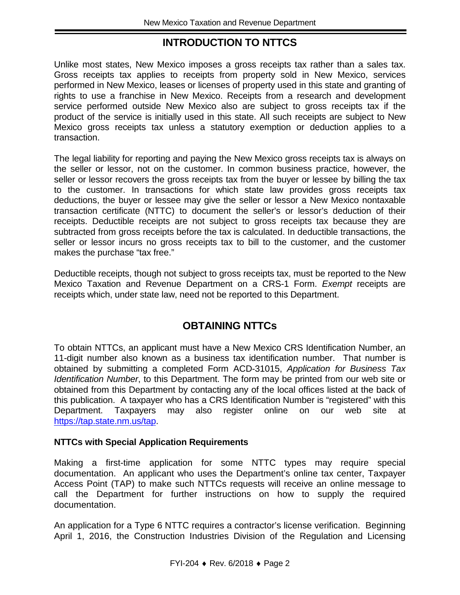# **INTRODUCTION TO NTTCS**

Unlike most states, New Mexico imposes a gross receipts tax rather than a sales tax. Gross receipts tax applies to receipts from property sold in New Mexico, services performed in New Mexico, leases or licenses of property used in this state and granting of rights to use a franchise in New Mexico. Receipts from a research and development service performed outside New Mexico also are subject to gross receipts tax if the product of the service is initially used in this state. All such receipts are subject to New Mexico gross receipts tax unless a statutory exemption or deduction applies to a transaction.

The legal liability for reporting and paying the New Mexico gross receipts tax is always on the seller or lessor, not on the customer. In common business practice, however, the seller or lessor recovers the gross receipts tax from the buyer or lessee by billing the tax to the customer. In transactions for which state law provides gross receipts tax deductions, the buyer or lessee may give the seller or lessor a New Mexico nontaxable transaction certificate (NTTC) to document the seller's or lessor's deduction of their receipts. Deductible receipts are not subject to gross receipts tax because they are subtracted from gross receipts before the tax is calculated. In deductible transactions, the seller or lessor incurs no gross receipts tax to bill to the customer, and the customer makes the purchase "tax free."

Deductible receipts, though not subject to gross receipts tax, must be reported to the New Mexico Taxation and Revenue Department on a CRS-1 Form. *Exempt* receipts are receipts which, under state law, need not be reported to this Department.

# **OBTAINING NTTCs**

To obtain NTTCs, an applicant must have a New Mexico CRS Identification Number, an 11-digit number also known as a business tax identification number. That number is obtained by submitting a completed Form ACD-31015, *Application for Business Tax Identification Number*, to this Department. The form may be printed from our web site or obtained from this Department by contacting any of the local offices listed at the back of this publication. A taxpayer who has a CRS Identification Number is "registered" with this Department. Taxpayers may also register online on our web site at [https://tap.state.nm.us/tap.](https://tap.state.nm.us/tap)

## **NTTCs with Special Application Requirements**

Making a first-time application for some NTTC types may require special documentation. An applicant who uses the Department's online tax center, Taxpayer Access Point (TAP) to make such NTTCs requests will receive an online message to call the Department for further instructions on how to supply the required documentation.

An application for a Type 6 NTTC requires a contractor's license verification. Beginning April 1, 2016, the Construction Industries Division of the Regulation and Licensing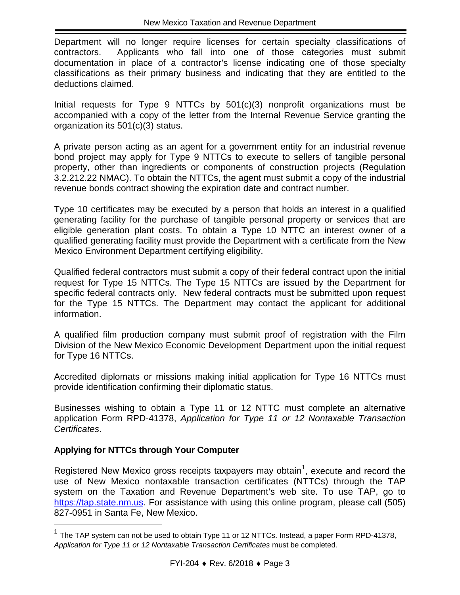Department will no longer require licenses for certain specialty classifications of contractors. Applicants who fall into one of those categories must submit documentation in place of a contractor's license indicating one of those specialty classifications as their primary business and indicating that they are entitled to the deductions claimed.

Initial requests for Type 9 NTTCs by 501(c)(3) nonprofit organizations must be accompanied with a copy of the letter from the Internal Revenue Service granting the organization its 501(c)(3) status.

A private person acting as an agent for a government entity for an industrial revenue bond project may apply for Type 9 NTTCs to execute to sellers of tangible personal property, other than ingredients or components of construction projects (Regulation 3.2.212.22 NMAC). To obtain the NTTCs, the agent must submit a copy of the industrial revenue bonds contract showing the expiration date and contract number.

Type 10 certificates may be executed by a person that holds an interest in a qualified generating facility for the purchase of tangible personal property or services that are eligible generation plant costs. To obtain a Type 10 NTTC an interest owner of a qualified generating facility must provide the Department with a certificate from the New Mexico Environment Department certifying eligibility.

Qualified federal contractors must submit a copy of their federal contract upon the initial request for Type 15 NTTCs. The Type 15 NTTCs are issued by the Department for specific federal contracts only. New federal contracts must be submitted upon request for the Type 15 NTTCs. The Department may contact the applicant for additional information.

A qualified film production company must submit proof of registration with the Film Division of the New Mexico Economic Development Department upon the initial request for Type 16 NTTCs.

Accredited diplomats or missions making initial application for Type 16 NTTCs must provide identification confirming their diplomatic status.

Businesses wishing to obtain a Type 11 or 12 NTTC must complete an alternative application Form RPD-41378, *Application for Type 11 or 12 Nontaxable Transaction Certificates*.

## **Applying for NTTCs through Your Computer**

i.

Registered New Mexico gross receipts taxpayers may obtain<sup>[1](#page-6-0)</sup>, execute and record the use of New Mexico nontaxable transaction certificates (NTTCs) through the TAP system on the Taxation and Revenue Department's web site. To use TAP, go to [https://tap.state.nm.us.](https://tap.state.nm.us/) For assistance with using this online program, please call (505) 827-0951 in Santa Fe, New Mexico.

<span id="page-6-0"></span> $1$  The TAP system can not be used to obtain Type 11 or 12 NTTCs. Instead, a paper Form RPD-41378, *Application for Type 11 or 12 Nontaxable Transaction Certificates* must be completed.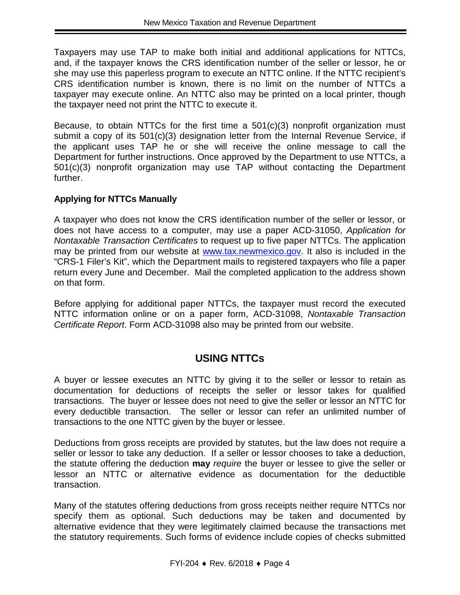Taxpayers may use TAP to make both initial and additional applications for NTTCs, and, if the taxpayer knows the CRS identification number of the seller or lessor, he or she may use this paperless program to execute an NTTC online. If the NTTC recipient's CRS identification number is known, there is no limit on the number of NTTCs a taxpayer may execute online. An NTTC also may be printed on a local printer, though the taxpayer need not print the NTTC to execute it.

Because, to obtain NTTCs for the first time a 501(c)(3) nonprofit organization must submit a copy of its 501(c)(3) designation letter from the Internal Revenue Service, if the applicant uses TAP he or she will receive the online message to call the Department for further instructions. Once approved by the Department to use NTTCs, a 501(c)(3) nonprofit organization may use TAP without contacting the Department further.

## **Applying for NTTCs Manually**

A taxpayer who does not know the CRS identification number of the seller or lessor, or does not have access to a computer, may use a paper ACD-31050, *Application for Nontaxable Transaction Certificates* to request up to five paper NTTCs. The application may be printed from our website at [www.tax.newmexico.gov.](http://www.tax.newmexico.gov/) It also is included in the "CRS-1 Filer's Kit", which the Department mails to registered taxpayers who file a paper return every June and December. Mail the completed application to the address shown on that form.

Before applying for additional paper NTTCs, the taxpayer must record the executed NTTC information online or on a paper form, ACD-31098, *Nontaxable Transaction Certificate Report*. Form ACD-31098 also may be printed from our website.

## **USING NTTCs**

A buyer or lessee executes an NTTC by giving it to the seller or lessor to retain as documentation for deductions of receipts the seller or lessor takes for qualified transactions. The buyer or lessee does not need to give the seller or lessor an NTTC for every deductible transaction. The seller or lessor can refer an unlimited number of transactions to the one NTTC given by the buyer or lessee.

Deductions from gross receipts are provided by statutes, but the law does not require a seller or lessor to take any deduction. If a seller or lessor chooses to take a deduction, the statute offering the deduction **may** *require* the buyer or lessee to give the seller or lessor an NTTC or alternative evidence as documentation for the deductible transaction.

Many of the statutes offering deductions from gross receipts neither require NTTCs nor specify them as optional. Such deductions may be taken and documented by alternative evidence that they were legitimately claimed because the transactions met the statutory requirements. Such forms of evidence include copies of checks submitted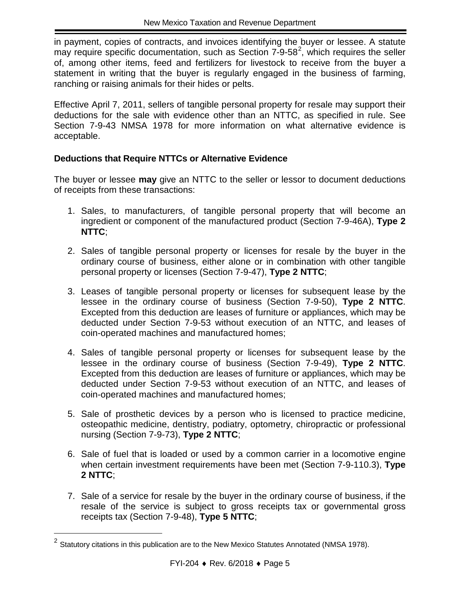in payment, copies of contracts, and invoices identifying the buyer or lessee. A statute may require specific documentation, such as Section  $7-9-58^2$  $7-9-58^2$ , which requires the seller of, among other items, feed and fertilizers for livestock to receive from the buyer a statement in writing that the buyer is regularly engaged in the business of farming, ranching or raising animals for their hides or pelts.

Effective April 7, 2011, sellers of tangible personal property for resale may support their deductions for the sale with evidence other than an NTTC, as specified in rule. See Section 7-9-43 NMSA 1978 for more information on what alternative evidence is acceptable.

## **Deductions that Require NTTCs or Alternative Evidence**

The buyer or lessee **may** give an NTTC to the seller or lessor to document deductions of receipts from these transactions:

- 1. Sales, to manufacturers, of tangible personal property that will become an ingredient or component of the manufactured product (Section 7-9-46A), **Type 2 NTTC**;
- 2. Sales of tangible personal property or licenses for resale by the buyer in the ordinary course of business, either alone or in combination with other tangible personal property or licenses (Section 7-9-47), **Type 2 NTTC**;
- 3. Leases of tangible personal property or licenses for subsequent lease by the lessee in the ordinary course of business (Section 7-9-50), **Type 2 NTTC**. Excepted from this deduction are leases of furniture or appliances, which may be deducted under Section 7-9-53 without execution of an NTTC, and leases of coin-operated machines and manufactured homes;
- 4. Sales of tangible personal property or licenses for subsequent lease by the lessee in the ordinary course of business (Section 7-9-49), **Type 2 NTTC**. Excepted from this deduction are leases of furniture or appliances, which may be deducted under Section 7-9-53 without execution of an NTTC, and leases of coin-operated machines and manufactured homes;
- 5. Sale of prosthetic devices by a person who is licensed to practice medicine, osteopathic medicine, dentistry, podiatry, optometry, chiropractic or professional nursing (Section 7-9-73), **Type 2 NTTC**;
- 6. Sale of fuel that is loaded or used by a common carrier in a locomotive engine when certain investment requirements have been met (Section 7-9-110.3), **Type 2 NTTC**;
- 7. Sale of a service for resale by the buyer in the ordinary course of business, if the resale of the service is subject to gross receipts tax or governmental gross receipts tax (Section 7-9-48), **Type 5 NTTC**;

i.

<span id="page-8-0"></span> $^2$  Statutory citations in this publication are to the New Mexico Statutes Annotated (NMSA 1978).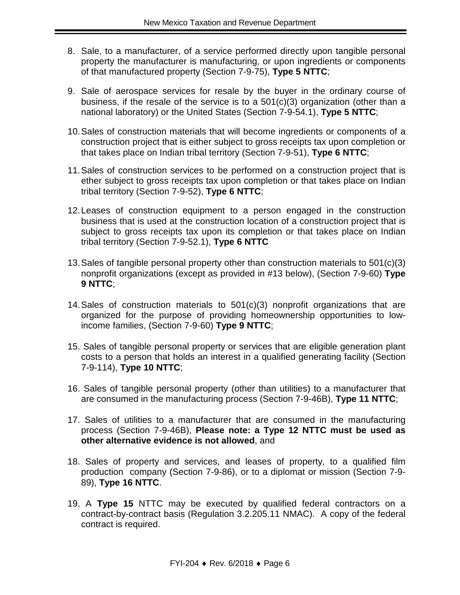- 8. Sale, to a manufacturer, of a service performed directly upon tangible personal property the manufacturer is manufacturing, or upon ingredients or components of that manufactured property (Section 7-9-75), **Type 5 NTTC**;
- 9. Sale of aerospace services for resale by the buyer in the ordinary course of business, if the resale of the service is to a 501(c)(3) organization (other than a national laboratory) or the United States (Section 7-9-54.1), **Type 5 NTTC**;
- 10.Sales of construction materials that will become ingredients or components of a construction project that is either subject to gross receipts tax upon completion or that takes place on Indian tribal territory (Section 7-9-51), **Type 6 NTTC**;
- 11.Sales of construction services to be performed on a construction project that is ether subject to gross receipts tax upon completion or that takes place on Indian tribal territory (Section 7-9-52), **Type 6 NTTC**;
- 12.Leases of construction equipment to a person engaged in the construction business that is used at the construction location of a construction project that is subject to gross receipts tax upon its completion or that takes place on Indian tribal territory (Section 7-9-52.1), **Type 6 NTTC**
- 13.Sales of tangible personal property other than construction materials to 501(c)(3) nonprofit organizations (except as provided in #13 below), (Section 7-9-60) **Type 9 NTTC**;
- 14.Sales of construction materials to 501(c)(3) nonprofit organizations that are organized for the purpose of providing homeownership opportunities to lowincome families, (Section 7-9-60) **Type 9 NTTC**;
- 15. Sales of tangible personal property or services that are eligible generation plant costs to a person that holds an interest in a qualified generating facility (Section 7-9-114), **Type 10 NTTC**;
- 16. Sales of tangible personal property (other than utilities) to a manufacturer that are consumed in the manufacturing process (Section 7-9-46B), **Type 11 NTTC**;
- 17. Sales of utilities to a manufacturer that are consumed in the manufacturing process (Section 7-9-46B), **Please note: a Type 12 NTTC must be used as other alternative evidence is not allowed**, and
- 18. Sales of property and services, and leases of property, to a qualified film production company (Section 7-9-86), or to a diplomat or mission (Section 7-9- 89), **Type 16 NTTC**.
- 19. A **Type 15** NTTC may be executed by qualified federal contractors on a contract-by-contract basis (Regulation 3.2.205.11 NMAC). A copy of the federal contract is required.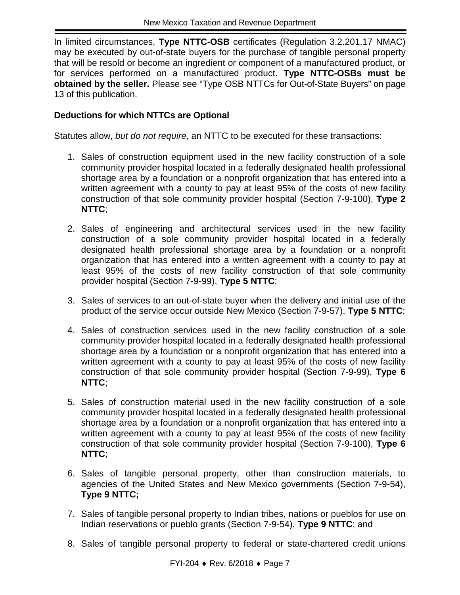In limited circumstances, **Type NTTC-OSB** certificates (Regulation 3.2.201.17 NMAC) may be executed by out-of-state buyers for the purchase of tangible personal property that will be resold or become an ingredient or component of a manufactured product, or for services performed on a manufactured product. **Type NTTC-OSBs must be obtained by the seller.** Please see "Type OSB NTTCs for Out-of-State Buyers" on page 13 of this publication.

## **Deductions for which NTTCs are Optional**

Statutes allow, *but do not require*, an NTTC to be executed for these transactions:

- 1. Sales of construction equipment used in the new facility construction of a sole community provider hospital located in a federally designated health professional shortage area by a foundation or a nonprofit organization that has entered into a written agreement with a county to pay at least 95% of the costs of new facility construction of that sole community provider hospital (Section 7-9-100), **Type 2 NTTC**;
- 2. Sales of engineering and architectural services used in the new facility construction of a sole community provider hospital located in a federally designated health professional shortage area by a foundation or a nonprofit organization that has entered into a written agreement with a county to pay at least 95% of the costs of new facility construction of that sole community provider hospital (Section 7-9-99), **Type 5 NTTC**;
- 3. Sales of services to an out-of-state buyer when the delivery and initial use of the product of the service occur outside New Mexico (Section 7-9-57), **Type 5 NTTC**;
- 4. Sales of construction services used in the new facility construction of a sole community provider hospital located in a federally designated health professional shortage area by a foundation or a nonprofit organization that has entered into a written agreement with a county to pay at least 95% of the costs of new facility construction of that sole community provider hospital (Section 7-9-99), **Type 6 NTTC**;
- 5. Sales of construction material used in the new facility construction of a sole community provider hospital located in a federally designated health professional shortage area by a foundation or a nonprofit organization that has entered into a written agreement with a county to pay at least 95% of the costs of new facility construction of that sole community provider hospital (Section 7-9-100), **Type 6 NTTC**;
- 6. Sales of tangible personal property, other than construction materials, to agencies of the United States and New Mexico governments (Section 7-9-54), **Type 9 NTTC;**
- 7. Sales of tangible personal property to Indian tribes, nations or pueblos for use on Indian reservations or pueblo grants (Section 7-9-54), **Type 9 NTTC**; and
- 8. Sales of tangible personal property to federal or state-chartered credit unions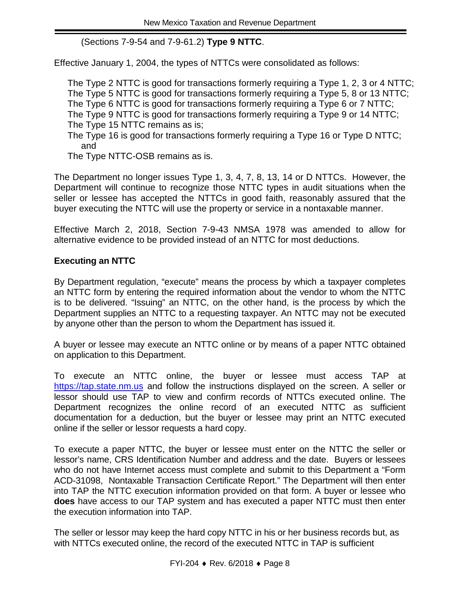(Sections 7-9-54 and 7-9-61.2) **Type 9 NTTC**.

Effective January 1, 2004, the types of NTTCs were consolidated as follows:

The Type 2 NTTC is good for transactions formerly requiring a Type 1, 2, 3 or 4 NTTC; The Type 5 NTTC is good for transactions formerly requiring a Type 5, 8 or 13 NTTC; The Type 6 NTTC is good for transactions formerly requiring a Type 6 or 7 NTTC; The Type 9 NTTC is good for transactions formerly requiring a Type 9 or 14 NTTC; The Type 15 NTTC remains as is;

The Type 16 is good for transactions formerly requiring a Type 16 or Type D NTTC; and

The Type NTTC-OSB remains as is.

The Department no longer issues Type 1, 3, 4, 7, 8, 13, 14 or D NTTCs. However, the Department will continue to recognize those NTTC types in audit situations when the seller or lessee has accepted the NTTCs in good faith, reasonably assured that the buyer executing the NTTC will use the property or service in a nontaxable manner.

Effective March 2, 2018, Section 7-9-43 NMSA 1978 was amended to allow for alternative evidence to be provided instead of an NTTC for most deductions.

## **Executing an NTTC**

By Department regulation, "execute" means the process by which a taxpayer completes an NTTC form by entering the required information about the vendor to whom the NTTC is to be delivered. "Issuing" an NTTC, on the other hand, is the process by which the Department supplies an NTTC to a requesting taxpayer. An NTTC may not be executed by anyone other than the person to whom the Department has issued it.

A buyer or lessee may execute an NTTC online or by means of a paper NTTC obtained on application to this Department.

To execute an NTTC online, the buyer or lessee must access TAP at [https://tap.state.nm.us](https://tap.state.nm.us/) and follow the instructions displayed on the screen. A seller or lessor should use TAP to view and confirm records of NTTCs executed online. The Department recognizes the online record of an executed NTTC as sufficient documentation for a deduction, but the buyer or lessee may print an NTTC executed online if the seller or lessor requests a hard copy.

To execute a paper NTTC, the buyer or lessee must enter on the NTTC the seller or lessor's name, CRS Identification Number and address and the date. Buyers or lessees who do not have Internet access must complete and submit to this Department a "Form ACD-31098, Nontaxable Transaction Certificate Report." The Department will then enter into TAP the NTTC execution information provided on that form. A buyer or lessee who **does** have access to our TAP system and has executed a paper NTTC must then enter the execution information into TAP.

The seller or lessor may keep the hard copy NTTC in his or her business records but, as with NTTCs executed online, the record of the executed NTTC in TAP is sufficient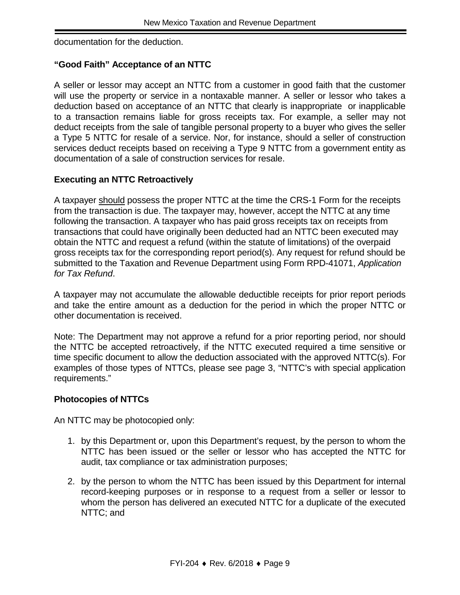documentation for the deduction.

## **"Good Faith" Acceptance of an NTTC**

A seller or lessor may accept an NTTC from a customer in good faith that the customer will use the property or service in a nontaxable manner. A seller or lessor who takes a deduction based on acceptance of an NTTC that clearly is inappropriate or inapplicable to a transaction remains liable for gross receipts tax. For example, a seller may not deduct receipts from the sale of tangible personal property to a buyer who gives the seller a Type 5 NTTC for resale of a service. Nor, for instance, should a seller of construction services deduct receipts based on receiving a Type 9 NTTC from a government entity as documentation of a sale of construction services for resale.

#### **Executing an NTTC Retroactively**

A taxpayer should possess the proper NTTC at the time the CRS-1 Form for the receipts from the transaction is due. The taxpayer may, however, accept the NTTC at any time following the transaction. A taxpayer who has paid gross receipts tax on receipts from transactions that could have originally been deducted had an NTTC been executed may obtain the NTTC and request a refund (within the statute of limitations) of the overpaid gross receipts tax for the corresponding report period(s). Any request for refund should be submitted to the Taxation and Revenue Department using Form RPD-41071, *Application for Tax Refund*.

A taxpayer may not accumulate the allowable deductible receipts for prior report periods and take the entire amount as a deduction for the period in which the proper NTTC or other documentation is received.

Note: The Department may not approve a refund for a prior reporting period, nor should the NTTC be accepted retroactively, if the NTTC executed required a time sensitive or time specific document to allow the deduction associated with the approved NTTC(s). For examples of those types of NTTCs, please see page 3, "NTTC's with special application requirements."

#### **Photocopies of NTTCs**

An NTTC may be photocopied only:

- 1. by this Department or, upon this Department's request, by the person to whom the NTTC has been issued or the seller or lessor who has accepted the NTTC for audit, tax compliance or tax administration purposes;
- 2. by the person to whom the NTTC has been issued by this Department for internal record-keeping purposes or in response to a request from a seller or lessor to whom the person has delivered an executed NTTC for a duplicate of the executed NTTC; and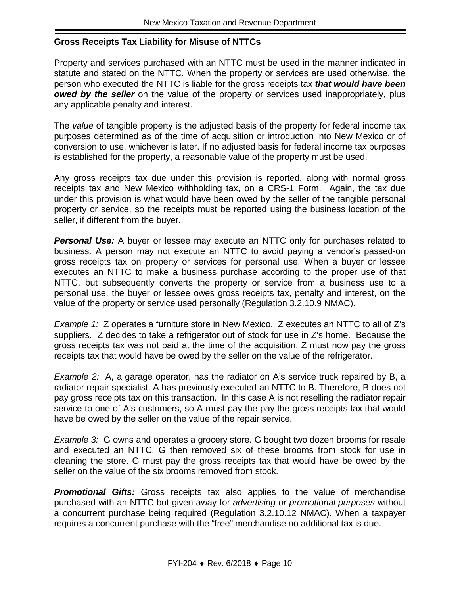#### **Gross Receipts Tax Liability for Misuse of NTTCs**

Property and services purchased with an NTTC must be used in the manner indicated in statute and stated on the NTTC. When the property or services are used otherwise, the person who executed the NTTC is liable for the gross receipts tax *that would have been owed by the seller* on the value of the property or services used inappropriately, plus any applicable penalty and interest.

The *value* of tangible property is the adjusted basis of the property for federal income tax purposes determined as of the time of acquisition or introduction into New Mexico or of conversion to use, whichever is later. If no adjusted basis for federal income tax purposes is established for the property, a reasonable value of the property must be used.

Any gross receipts tax due under this provision is reported, along with normal gross receipts tax and New Mexico withholding tax, on a CRS-1 Form. Again, the tax due under this provision is what would have been owed by the seller of the tangible personal property or service, so the receipts must be reported using the business location of the seller, if different from the buyer.

**Personal Use:** A buyer or lessee may execute an NTTC only for purchases related to business. A person may not execute an NTTC to avoid paying a vendor's passed-on gross receipts tax on property or services for personal use. When a buyer or lessee executes an NTTC to make a business purchase according to the proper use of that NTTC, but subsequently converts the property or service from a business use to a personal use, the buyer or lessee owes gross receipts tax, penalty and interest, on the value of the property or service used personally (Regulation 3.2.10.9 NMAC).

*Example 1:* Z operates a furniture store in New Mexico. Z executes an NTTC to all of Z's suppliers. Z decides to take a refrigerator out of stock for use in Z's home. Because the gross receipts tax was not paid at the time of the acquisition, Z must now pay the gross receipts tax that would have be owed by the seller on the value of the refrigerator.

*Example 2:* A, a garage operator, has the radiator on A's service truck repaired by B, a radiator repair specialist. A has previously executed an NTTC to B. Therefore, B does not pay gross receipts tax on this transaction. In this case A is not reselling the radiator repair service to one of A's customers, so A must pay the pay the gross receipts tax that would have be owed by the seller on the value of the repair service.

*Example 3:* G owns and operates a grocery store. G bought two dozen brooms for resale and executed an NTTC. G then removed six of these brooms from stock for use in cleaning the store. G must pay the gross receipts tax that would have be owed by the seller on the value of the six brooms removed from stock.

*Promotional Gifts:* Gross receipts tax also applies to the value of merchandise purchased with an NTTC but given away for *advertising or promotional purposes* without a concurrent purchase being required (Regulation 3.2.10.12 NMAC). When a taxpayer requires a concurrent purchase with the "free" merchandise no additional tax is due.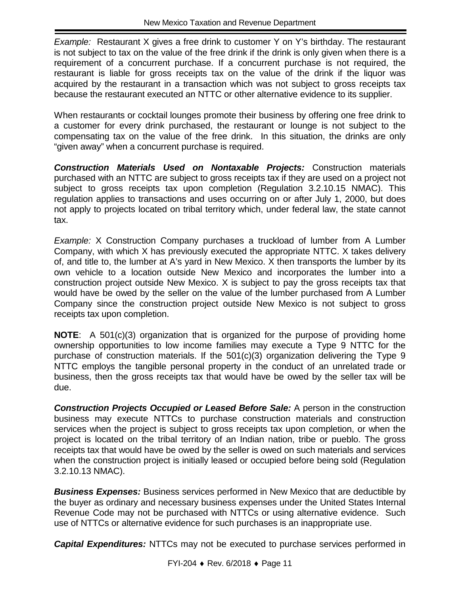*Example:* Restaurant X gives a free drink to customer Y on Y's birthday. The restaurant is not subject to tax on the value of the free drink if the drink is only given when there is a requirement of a concurrent purchase. If a concurrent purchase is not required, the restaurant is liable for gross receipts tax on the value of the drink if the liquor was acquired by the restaurant in a transaction which was not subject to gross receipts tax because the restaurant executed an NTTC or other alternative evidence to its supplier.

When restaurants or cocktail lounges promote their business by offering one free drink to a customer for every drink purchased, the restaurant or lounge is not subject to the compensating tax on the value of the free drink. In this situation, the drinks are only "given away" when a concurrent purchase is required.

*Construction Materials Used on Nontaxable Projects:* Construction materials purchased with an NTTC are subject to gross receipts tax if they are used on a project not subject to gross receipts tax upon completion (Regulation 3.2.10.15 NMAC). This regulation applies to transactions and uses occurring on or after July 1, 2000, but does not apply to projects located on tribal territory which, under federal law, the state cannot tax.

*Example:* X Construction Company purchases a truckload of lumber from A Lumber Company, with which X has previously executed the appropriate NTTC. X takes delivery of, and title to, the lumber at A's yard in New Mexico. X then transports the lumber by its own vehicle to a location outside New Mexico and incorporates the lumber into a construction project outside New Mexico. X is subject to pay the gross receipts tax that would have be owed by the seller on the value of the lumber purchased from A Lumber Company since the construction project outside New Mexico is not subject to gross receipts tax upon completion.

**NOTE**: A 501(c)(3) organization that is organized for the purpose of providing home ownership opportunities to low income families may execute a Type 9 NTTC for the purchase of construction materials. If the 501(c)(3) organization delivering the Type 9 NTTC employs the tangible personal property in the conduct of an unrelated trade or business, then the gross receipts tax that would have be owed by the seller tax will be due.

*Construction Projects Occupied or Leased Before Sale:* A person in the construction business may execute NTTCs to purchase construction materials and construction services when the project is subject to gross receipts tax upon completion, or when the project is located on the tribal territory of an Indian nation, tribe or pueblo. The gross receipts tax that would have be owed by the seller is owed on such materials and services when the construction project is initially leased or occupied before being sold (Regulation 3.2.10.13 NMAC).

*Business Expenses:* Business services performed in New Mexico that are deductible by the buyer as ordinary and necessary business expenses under the United States Internal Revenue Code may not be purchased with NTTCs or using alternative evidence. Such use of NTTCs or alternative evidence for such purchases is an inappropriate use.

*Capital Expenditures:* NTTCs may not be executed to purchase services performed in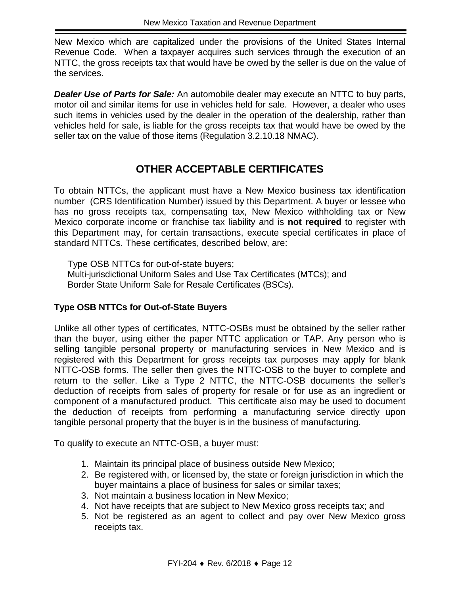New Mexico which are capitalized under the provisions of the United States Internal Revenue Code. When a taxpayer acquires such services through the execution of an NTTC, the gross receipts tax that would have be owed by the seller is due on the value of the services.

*Dealer Use of Parts for Sale:* An automobile dealer may execute an NTTC to buy parts, motor oil and similar items for use in vehicles held for sale. However, a dealer who uses such items in vehicles used by the dealer in the operation of the dealership, rather than vehicles held for sale, is liable for the gross receipts tax that would have be owed by the seller tax on the value of those items (Regulation 3.2.10.18 NMAC).

# **OTHER ACCEPTABLE CERTIFICATES**

To obtain NTTCs, the applicant must have a New Mexico business tax identification number (CRS Identification Number) issued by this Department. A buyer or lessee who has no gross receipts tax, compensating tax, New Mexico withholding tax or New Mexico corporate income or franchise tax liability and is **not required** to register with this Department may, for certain transactions, execute special certificates in place of standard NTTCs. These certificates, described below, are:

Type OSB NTTCs for out-of-state buyers; Multi-jurisdictional Uniform Sales and Use Tax Certificates (MTCs); and Border State Uniform Sale for Resale Certificates (BSCs).

## **Type OSB NTTCs for Out-of-State Buyers**

Unlike all other types of certificates, NTTC-OSBs must be obtained by the seller rather than the buyer, using either the paper NTTC application or TAP. Any person who is selling tangible personal property or manufacturing services in New Mexico and is registered with this Department for gross receipts tax purposes may apply for blank NTTC-OSB forms. The seller then gives the NTTC-OSB to the buyer to complete and return to the seller. Like a Type 2 NTTC, the NTTC-OSB documents the seller's deduction of receipts from sales of property for resale or for use as an ingredient or component of a manufactured product. This certificate also may be used to document the deduction of receipts from performing a manufacturing service directly upon tangible personal property that the buyer is in the business of manufacturing.

To qualify to execute an NTTC-OSB, a buyer must:

- 1. Maintain its principal place of business outside New Mexico;
- 2. Be registered with, or licensed by, the state or foreign jurisdiction in which the buyer maintains a place of business for sales or similar taxes;
- 3. Not maintain a business location in New Mexico;
- 4. Not have receipts that are subject to New Mexico gross receipts tax; and
- 5. Not be registered as an agent to collect and pay over New Mexico gross receipts tax.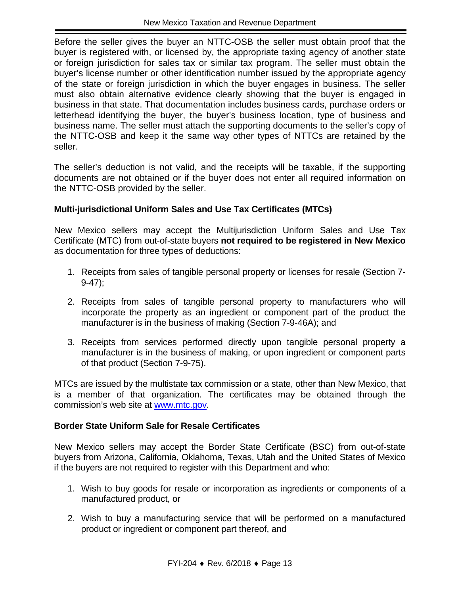Before the seller gives the buyer an NTTC-OSB the seller must obtain proof that the buyer is registered with, or licensed by, the appropriate taxing agency of another state or foreign jurisdiction for sales tax or similar tax program. The seller must obtain the buyer's license number or other identification number issued by the appropriate agency of the state or foreign jurisdiction in which the buyer engages in business. The seller must also obtain alternative evidence clearly showing that the buyer is engaged in business in that state. That documentation includes business cards, purchase orders or letterhead identifying the buyer, the buyer's business location, type of business and business name. The seller must attach the supporting documents to the seller's copy of the NTTC-OSB and keep it the same way other types of NTTCs are retained by the seller.

The seller's deduction is not valid, and the receipts will be taxable, if the supporting documents are not obtained or if the buyer does not enter all required information on the NTTC-OSB provided by the seller.

## **Multi-jurisdictional Uniform Sales and Use Tax Certificates (MTCs)**

New Mexico sellers may accept the Multijurisdiction Uniform Sales and Use Tax Certificate (MTC) from out-of-state buyers **not required to be registered in New Mexico** as documentation for three types of deductions:

- 1. Receipts from sales of tangible personal property or licenses for resale (Section 7-  $9-47$ ;
- 2. Receipts from sales of tangible personal property to manufacturers who will incorporate the property as an ingredient or component part of the product the manufacturer is in the business of making (Section 7-9-46A); and
- 3. Receipts from services performed directly upon tangible personal property a manufacturer is in the business of making, or upon ingredient or component parts of that product (Section 7-9-75).

MTCs are issued by the multistate tax commission or a state, other than New Mexico, that is a member of that organization. The certificates may be obtained through the commission's web site at [www.mtc.gov.](http://www.mtc.gov/)

#### **Border State Uniform Sale for Resale Certificates**

New Mexico sellers may accept the Border State Certificate (BSC) from out-of-state buyers from Arizona, California, Oklahoma, Texas, Utah and the United States of Mexico if the buyers are not required to register with this Department and who:

- 1. Wish to buy goods for resale or incorporation as ingredients or components of a manufactured product, or
- 2. Wish to buy a manufacturing service that will be performed on a manufactured product or ingredient or component part thereof, and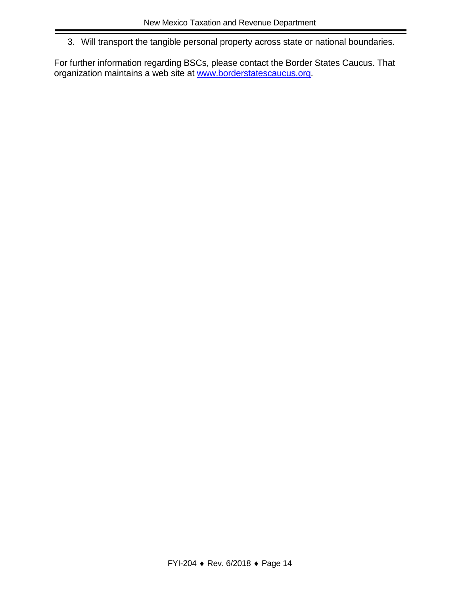3. Will transport the tangible personal property across state or national boundaries.

For further information regarding BSCs, please contact the Border States Caucus. That organization maintains a web site at [www.borderstatescaucus.org.](http://www.borderstatescaucus.org/)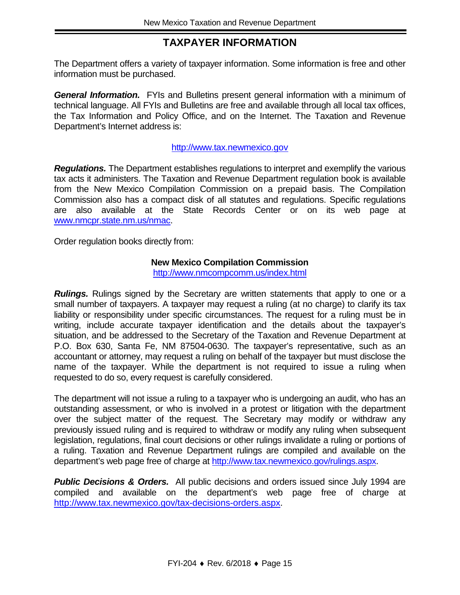# **TAXPAYER INFORMATION**

The Department offers a variety of taxpayer information. Some information is free and other information must be purchased.

*General Information.* FYIs and Bulletins present general information with a minimum of technical language. All FYIs and Bulletins are free and available through all local tax offices, the Tax Information and Policy Office, and on the Internet. The Taxation and Revenue Department's Internet address is:

#### [http://www.tax.newmexico.gov](http://www.tax.newmexico.gov/)

*Regulations.* The Department establishes regulations to interpret and exemplify the various tax acts it administers. The Taxation and Revenue Department regulation book is available from the New Mexico Compilation Commission on a prepaid basis. The Compilation Commission also has a compact disk of all statutes and regulations. Specific regulations are also available at the State Records Center or on its web page at [www.nmcpr.state.nm.us/nmac.](http://www.nmcpr.state.nm.us/nmac)

Order regulation books directly from:

#### **New Mexico Compilation Commission**

<http://www.nmcompcomm.us/index.html>

*Rulings.* Rulings signed by the Secretary are written statements that apply to one or a small number of taxpayers. A taxpayer may request a ruling (at no charge) to clarify its tax liability or responsibility under specific circumstances. The request for a ruling must be in writing, include accurate taxpayer identification and the details about the taxpayer's situation, and be addressed to the Secretary of the Taxation and Revenue Department at P.O. Box 630, Santa Fe, NM 87504-0630. The taxpayer's representative, such as an accountant or attorney, may request a ruling on behalf of the taxpayer but must disclose the name of the taxpayer. While the department is not required to issue a ruling when requested to do so, every request is carefully considered.

The department will not issue a ruling to a taxpayer who is undergoing an audit, who has an outstanding assessment, or who is involved in a protest or litigation with the department over the subject matter of the request. The Secretary may modify or withdraw any previously issued ruling and is required to withdraw or modify any ruling when subsequent legislation, regulations, final court decisions or other rulings invalidate a ruling or portions of a ruling. Taxation and Revenue Department rulings are compiled and available on the department's web page free of charge at http://www.tax.newmexico.gov/rulings.aspx.

**Public Decisions & Orders.** All public decisions and orders issued since July 1994 are compiled and available on the department's web page free of charge at [http://www.tax.newmexico.gov/tax-decisions-orders.aspx.](http://www.tax.newmexico.gov/tax-decisions-orders.aspx)